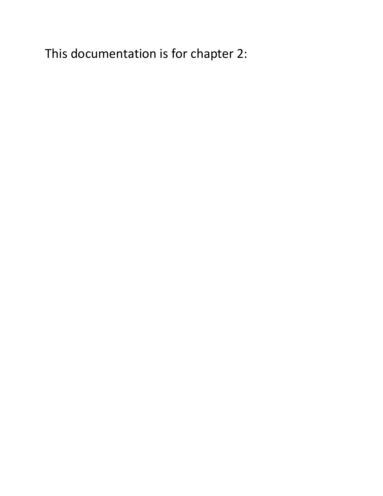This documentation is for chapter 2: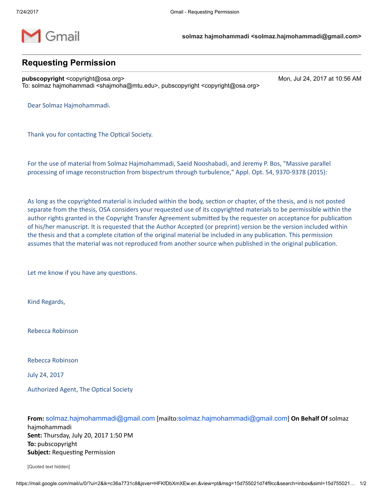

# Requesting Permission

pubscopyright <copyright@osa.org> Mon, Jul 24, 2017 at 10:56 AM To: solmaz hajmohammadi <shajmoha@mtu.edu>, pubscopyright <copyright@osa.org>

Dear Solmaz Hajmohammadi.

Thank you for contacting The Optical Society.

For the use of material from Solmaz Hajmohammadi, Saeid Nooshabadi, and Jeremy P. Bos, "Massive parallel processing of image reconstruction from bispectrum through turbulence," Appl. Opt. 54, 9370-9378 (2015):

As long as the copyrighted material is included within the body, section or chapter, of the thesis, and is not posted separate from the thesis, OSA considers your requested use of its copyrighted materials to be permissible within the author rights granted in the Copyright Transfer Agreement submitted by the requester on acceptance for publication of his/her manuscript. It is requested that the Author Accepted (or preprint) version be the version included within the thesis and that a complete citation of the original material be included in any publication. This permission assumes that the material was not reproduced from another source when published in the original publication.

Let me know if you have any questions.

Kind Regards,

Rebecca Robinson

Rebecca Robinson

July 24, 2017

Authorized Agent, The Optical Society

From: [solmaz.hajmohammadi@gmail.com](mailto:solmaz.hajmohammadi@gmail.com) [mailto:solmaz.hajmohammadi@gmail.com] On Behalf Of solmaz hajmohammadi Sent: Thursday, July 20, 2017 1:50 PM To: pubscopyright Subject: Requesting Permission

[Quoted text hidden]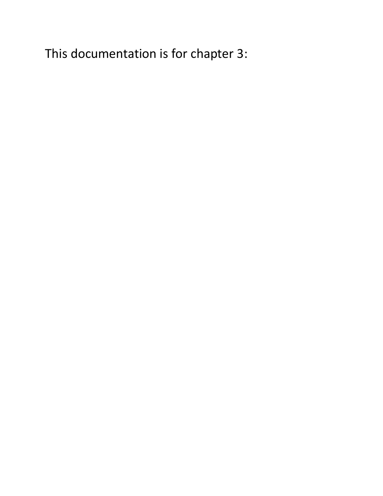This documentation is for chapter 3: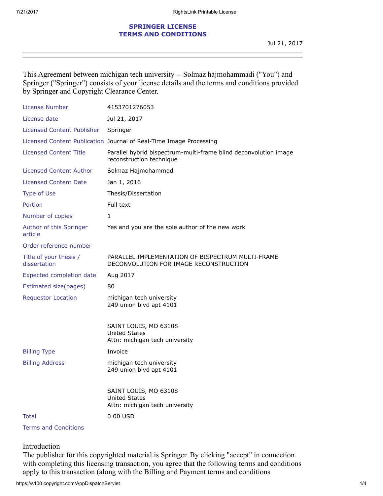### SPRINGER LICENSE TERMS AND CONDITIONS

This Agreement between michigan tech university -- Solmaz hajmohammadi ("You") and Springer ("Springer") consists of your license details and the terms and conditions provided by Springer and Copyright Clearance Center.

| License Number                         | 4153701276053                                                                                |
|----------------------------------------|----------------------------------------------------------------------------------------------|
| License date                           | Jul 21, 2017                                                                                 |
| Licensed Content Publisher             | Springer                                                                                     |
|                                        | Licensed Content Publication Journal of Real-Time Image Processing                           |
| <b>Licensed Content Title</b>          | Parallel hybrid bispectrum-multi-frame blind deconvolution image<br>reconstruction technique |
| <b>Licensed Content Author</b>         | Solmaz Hajmohammadi                                                                          |
| Licensed Content Date                  | Jan 1, 2016                                                                                  |
| <b>Type of Use</b>                     | Thesis/Dissertation                                                                          |
| Portion                                | Full text                                                                                    |
| Number of copies                       | 1                                                                                            |
| Author of this Springer<br>article     | Yes and you are the sole author of the new work                                              |
| Order reference number                 |                                                                                              |
| Title of your thesis /<br>dissertation | PARALLEL IMPLEMENTATION OF BISPECTRUM MULTI-FRAME<br>DECONVOLUTION FOR IMAGE RECONSTRUCTION  |
| Expected completion date               | Aug 2017                                                                                     |
| Estimated size(pages)                  | 80                                                                                           |
| <b>Requestor Location</b>              | michigan tech university<br>249 union blvd apt 4101                                          |
|                                        | SAINT LOUIS, MO 63108<br><b>United States</b><br>Attn: michigan tech university              |
| <b>Billing Type</b>                    | Invoice                                                                                      |
| <b>Billing Address</b>                 | michigan tech university<br>249 union blvd apt 4101                                          |
|                                        | SAINT LOUIS, MO 63108<br><b>United States</b><br>Attn: michigan tech university              |
| Total                                  | 0.00 USD                                                                                     |
|                                        |                                                                                              |

Terms and Conditions

Introduction

The publisher for this copyrighted material is Springer. By clicking "accept" in connection with completing this licensing transaction, you agree that the following terms and conditions apply to this transaction (along with the Billing and Payment terms and conditions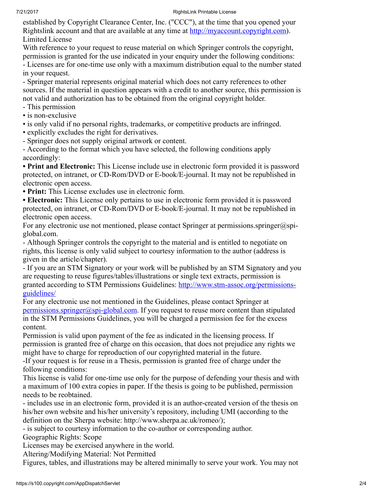#### 7/21/2017 RightsLink Printable License

established by Copyright Clearance Center, Inc. ("CCC"), at the time that you opened your Rightslink account and that are available at any time at [http://myaccount.copyright.com\)](http://myaccount.copyright.com/App/PaymentTermsAndConditions.jsp). Limited License

With reference to your request to reuse material on which Springer controls the copyright, permission is granted for the use indicated in your enquiry under the following conditions: - Licenses are for one-time use only with a maximum distribution equal to the number stated in your request.

- Springer material represents original material which does not carry references to other sources. If the material in question appears with a credit to another source, this permission is not valid and authorization has to be obtained from the original copyright holder.

- This permission
- is non-exclusive
- is only valid if no personal rights, trademarks, or competitive products are infringed.
- explicitly excludes the right for derivatives.
- Springer does not supply original artwork or content.

- According to the format which you have selected, the following conditions apply accordingly:

• Print and Electronic: This License include use in electronic form provided it is password protected, on intranet, or CD-Rom/DVD or E-book/E-journal. It may not be republished in electronic open access.

• Print: This License excludes use in electronic form.

• Electronic: This License only pertains to use in electronic form provided it is password protected, on intranet, or CD-Rom/DVD or E-book/E-journal. It may not be republished in electronic open access.

For any electronic use not mentioned, please contact Springer at permissions.springer@spiglobal.com.

- Although Springer controls the copyright to the material and is entitled to negotiate on rights, this license is only valid subject to courtesy information to the author (address is given in the article/chapter).

- If you are an STM Signatory or your work will be published by an STM Signatory and you are requesting to reuse figures/tables/illustrations or single text extracts, permission is granted according to STM Permissions Guidelines: [http://www.stm-assoc.org/permissions](http://www.stm-assoc.org/copyright-legal-affairs/permissions/permissions-guidelines/)guidelines/

For any electronic use not mentioned in the Guidelines, please contact Springer at [permissions.springer@spi-global.com](mailto:permissions.springer@spi-global.com). If you request to reuse more content than stipulated in the STM Permissions Guidelines, you will be charged a permission fee for the excess content.

Permission is valid upon payment of the fee as indicated in the licensing process. If permission is granted free of charge on this occasion, that does not prejudice any rights we might have to charge for reproduction of our copyrighted material in the future.

-If your request is for reuse in a Thesis, permission is granted free of charge under the following conditions:

This license is valid for one-time use only for the purpose of defending your thesis and with a maximum of 100 extra copies in paper. If the thesis is going to be published, permission needs to be reobtained.

- includes use in an electronic form, provided it is an author-created version of the thesis on his/her own website and his/her university's repository, including UMI (according to the definition on the Sherpa website: http://www.sherpa.ac.uk/romeo/);

- is subject to courtesy information to the co-author or corresponding author.

Geographic Rights: Scope

Licenses may be exercised anywhere in the world.

Altering/Modifying Material: Not Permitted

Figures, tables, and illustrations may be altered minimally to serve your work. You may not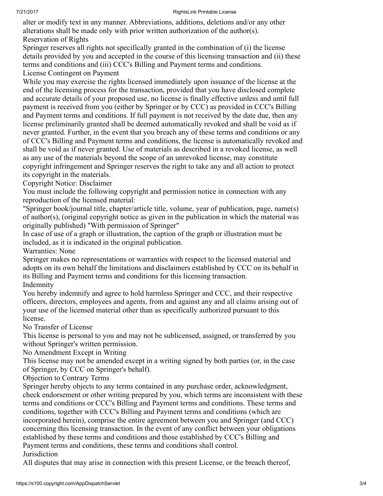#### 7/21/2017 RightsLink Printable License

alter or modify text in any manner. Abbreviations, additions, deletions and/or any other alterations shall be made only with prior written authorization of the author(s). Reservation of Rights

Springer reserves all rights not specifically granted in the combination of (i) the license details provided by you and accepted in the course of this licensing transaction and (ii) these terms and conditions and (iii) CCC's Billing and Payment terms and conditions. License Contingent on Payment

While you may exercise the rights licensed immediately upon issuance of the license at the end of the licensing process for the transaction, provided that you have disclosed complete and accurate details of your proposed use, no license is finally effective unless and until full payment is received from you (either by Springer or by CCC) as provided in CCC's Billing and Payment terms and conditions. If full payment is not received by the date due, then any license preliminarily granted shall be deemed automatically revoked and shall be void as if never granted. Further, in the event that you breach any of these terms and conditions or any of CCC's Billing and Payment terms and conditions, the license is automatically revoked and shall be void as if never granted. Use of materials as described in a revoked license, as well as any use of the materials beyond the scope of an unrevoked license, may constitute copyright infringement and Springer reserves the right to take any and all action to protect its copyright in the materials.

Copyright Notice: Disclaimer

You must include the following copyright and permission notice in connection with any reproduction of the licensed material:

"Springer book/journal title, chapter/article title, volume, year of publication, page, name(s) of author(s), (original copyright notice as given in the publication in which the material was originally published) "With permission of Springer"

In case of use of a graph or illustration, the caption of the graph or illustration must be included, as it is indicated in the original publication.

Warranties: None

Springer makes no representations or warranties with respect to the licensed material and adopts on its own behalf the limitations and disclaimers established by CCC on its behalf in its Billing and Payment terms and conditions for this licensing transaction. Indemnity

You hereby indemnify and agree to hold harmless Springer and CCC, and their respective officers, directors, employees and agents, from and against any and all claims arising out of your use of the licensed material other than as specifically authorized pursuant to this license.

No Transfer of License

This license is personal to you and may not be sublicensed, assigned, or transferred by you without Springer's written permission.

No Amendment Except in Writing

This license may not be amended except in a writing signed by both parties (or, in the case of Springer, by CCC on Springer's behalf).

Objection to Contrary Terms

Springer hereby objects to any terms contained in any purchase order, acknowledgment, check endorsement or other writing prepared by you, which terms are inconsistent with these terms and conditions or CCC's Billing and Payment terms and conditions. These terms and conditions, together with CCC's Billing and Payment terms and conditions (which are incorporated herein), comprise the entire agreement between you and Springer (and CCC) concerning this licensing transaction. In the event of any conflict between your obligations established by these terms and conditions and those established by CCC's Billing and Payment terms and conditions, these terms and conditions shall control. Jurisdiction

All disputes that may arise in connection with this present License, or the breach thereof,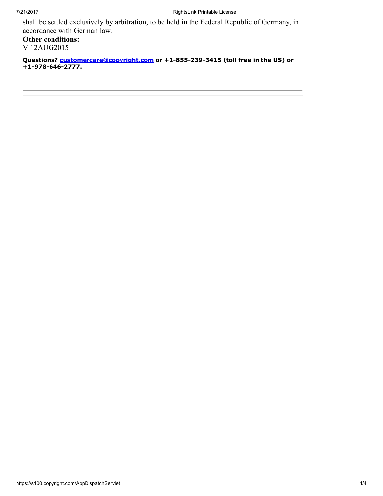shall be settled exclusively by arbitration, to be held in the Federal Republic of Germany, in accordance with German law.

Other conditions: V 12AUG2015

Questions? [customercare@copyright.com](mailto:customercare@copyright.com) or +1-855-239-3415 (toll free in the US) or +1-978-646-2777.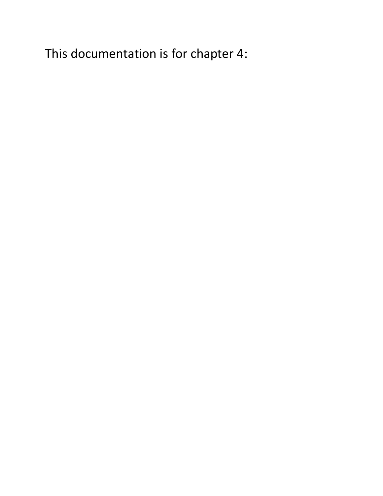This documentation is for chapter 4: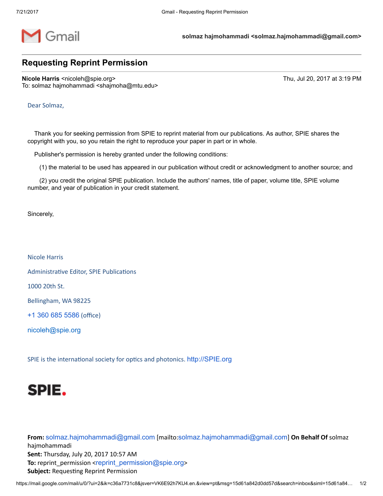

solmaz hajmohammadi <solmaz.hajmohammadi@gmail.com>

## Requesting Reprint Permission

Nicole Harris <nicoleh@spie.org> Thu, Jul 20, 2017 at 3:19 PM To: solmaz hajmohammadi <shajmoha@mtu.edu>

Dear Solmaz,

Thank you for seeking permission from SPIE to reprint material from our publications. As author, SPIE shares the copyright with you, so you retain the right to reproduce your paper in part or in whole.

Publisher's permission is hereby granted under the following conditions:

(1) the material to be used has appeared in our publication without credit or acknowledgment to another source; and

(2) you credit the original SPIE publication. Include the authors' names, title of paper, volume title, SPIE volume number, and year of publication in your credit statement.

Sincerely,

Nicole Harris

Administrative Editor, SPIE Publications

1000 20th St.

Bellingham, WA 98225

+1 360 685 [5586](tel:(360)%20685-5586) (office)

[nicoleh@spie.org](mailto:nicoleh@spie.org)

SPIE is the international society for optics and photonics. [http://SPIE.org](http://spie.org/)



From: [solmaz.hajmohammadi@gmail.com](mailto:solmaz.hajmohammadi@gmail.com) [mailto:solmaz.hajmohammadi@gmail.com] On Behalf Of solmaz hajmohammadi Sent: Thursday, July 20, 2017 10:57 AM To: reprint\_permission <[reprint\\_permission@spie.org](mailto:reprint_permission@spie.org)> Subject: Requesting Reprint Permission